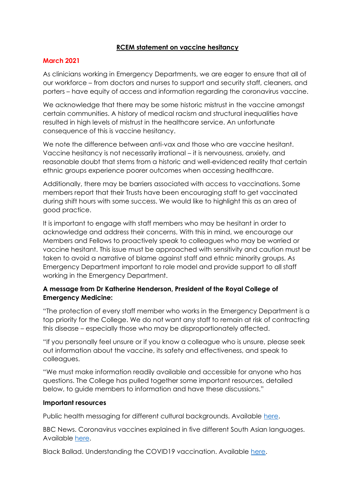## **RCEM statement on vaccine hesitancy**

## **March 2021**

As clinicians working in Emergency Departments, we are eager to ensure that all of our workforce – from doctors and nurses to support and security staff, cleaners, and porters – have equity of access and information regarding the coronavirus vaccine.

We acknowledge that there may be some historic mistrust in the vaccine amongst certain communities. A history of medical racism and structural inequalities have resulted in high levels of mistrust in the healthcare service. An unfortunate consequence of this is vaccine hesitancy.

We note the difference between anti-vax and those who are vaccine hesitant. Vaccine hesitancy is not necessarily irrational – it is nervousness, anxiety, and reasonable doubt that stems from a historic and well-evidenced reality that certain ethnic groups experience poorer outcomes when accessing healthcare.

Additionally, there may be barriers associated with access to vaccinations. Some members report that their Trusts have been encouraging staff to get vaccinated during shift hours with some success. We would like to highlight this as an area of good practice.

It is important to engage with staff members who may be hesitant in order to acknowledge and address their concerns. With this in mind, we encourage our Members and Fellows to proactively speak to colleagues who may be worried or vaccine hesitant. This issue must be approached with sensitivity and caution must be taken to avoid a narrative of blame against staff and ethnic minority groups. As Emergency Department important to role model and provide support to all staff working in the Emergency Department.

## **A message from Dr Katherine Henderson, President of the Royal College of Emergency Medicine:**

"The protection of every staff member who works in the Emergency Department is a top priority for the College. We do not want any staff to remain at risk of contracting this disease – especially those who may be disproportionately affected.

"If you personally feel unsure or if you know a colleague who is unsure, please seek out information about the vaccine, its safety and effectiveness, and speak to colleagues.

"We must make information readily available and accessible for anyone who has questions. The College has pulled together some important resources, detailed below, to guide members to information and have these discussions."

## **Important resources**

Public health messaging for different cultural backgrounds. Available [here.](https://assets.publishing.service.gov.uk/government/uploads/system/uploads/attachment_data/file/914924/s0649-public-health-messaging-bame-communities.pdf)

BBC News. Coronavirus vaccines explained in five different South Asian languages. Available [here.](https://www.bbc.co.uk/news/uk-55171293)

Black Ballad. Understanding the COVID19 vaccination. Available [here.](https://blackballad.co.uk/views-voices/understanding-the-covid-19-vaccine?listIds=5e74c0e44dfc5db0525f9f1a)